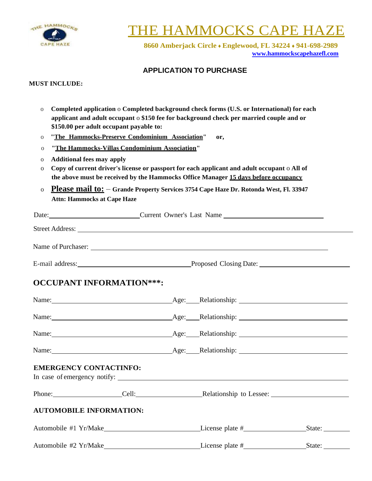

# **E HAMMOCKS CAPE**

**8660 Amberjack Circle** ♦ **Englewood, FL 34224** ♦ **941-698-2989 [www.hammockscapehazefl.com](http://www.hammockscapehazefl.com/)**

### **APPLICATION TO PURCHASE**

#### **MUST INCLUDE:**

- o **Completed application** o **Completed background check forms (U.S. or International) for each applicant and adult occupant** o **\$150 fee for background check per married couple and or \$150.00 per adult occupant payable to:**
- o **"The Hammocks-Preserve Condominium Association" or,**
- o **"The Hammocks-Villas Condominium Association"**
- o **Additional fees may apply**
- o **Copy of current driver's license or passport for each applicant and adult occupant** o **All of the above must be received by the Hammocks Office Manager 15 days before occupancy**
- o **Please mail to: Grande Property Services 3754 Cape Haze Dr. Rotonda West, Fl. 33947 Attn: Hammocks at Cape Haze**

| Date:              | Current Owner's Last Name<br><u> 1980 - Jan Stein Stein Stein Stein Stein Stein Stein Stein Stein Stein Stein Stein Stein Stein Stein Stein S</u> |  |  |  |
|--------------------|---------------------------------------------------------------------------------------------------------------------------------------------------|--|--|--|
|                    |                                                                                                                                                   |  |  |  |
| Name of Purchaser: | <u> 1989 - Johann Stoff, deutscher Stoff, der Stoff, der Stoff, der Stoff, der Stoff, der Stoff, der Stoff, der S</u>                             |  |  |  |
| E-mail address:    | Proposed Closing Date:                                                                                                                            |  |  |  |

# **OCCUPANT INFORMATION\*\*\*:**

| <b>EMERGENCY CONTACTINFO:</b>  |                                                                                |  |        |  |
|--------------------------------|--------------------------------------------------------------------------------|--|--------|--|
|                                | Phone: Cell: Cell: Relationship to Lessee: Cell: Cell: Relationship to Lessee: |  |        |  |
| <b>AUTOMOBILE INFORMATION:</b> |                                                                                |  |        |  |
|                                |                                                                                |  |        |  |
|                                |                                                                                |  | State: |  |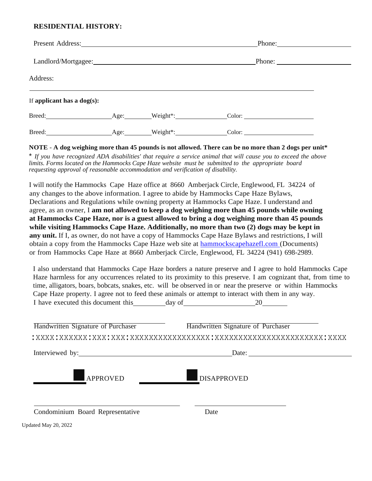## **RESIDENTIAL HISTORY:**

|                               |      | Present Address:                                                                                                                                                                                                               | Phone:                 |  |
|-------------------------------|------|--------------------------------------------------------------------------------------------------------------------------------------------------------------------------------------------------------------------------------|------------------------|--|
|                               |      | Landlord/Mortgagee: 1999 and 1999 and 1999 and 1999 and 1999 and 1999 and 1999 and 1999 and 1999 and 1999 and 1999 and 1999 and 1999 and 1999 and 1999 and 1999 and 1999 and 1999 and 1999 and 1999 and 1999 and 1999 and 1999 | Phone: $\qquad \qquad$ |  |
| Address:                      |      |                                                                                                                                                                                                                                |                        |  |
| If applicant has a $dog(s)$ : |      |                                                                                                                                                                                                                                |                        |  |
|                               | Age: | $Weight^*$ :                                                                                                                                                                                                                   |                        |  |
| Breed:                        | Age: | Weight*:                                                                                                                                                                                                                       |                        |  |

#### NOTE - A dog weighing more than 45 pounds is not allowed. There can be no more than 2 dogs per unit\*

\* If you have recognized ADA disabilities' that require a service animal that will cause you to exceed the above *limits. Forms located on the Hammocks Cape Haze website must be submitted to the appropriate board requesting approval of reasonable accommodation and verification of disability.*

I will notify the Hammocks Cape Haze office at 8660 Amberjack Circle, Englewood, FL 34224 of any changes to the above information. I agree to abide by Hammocks Cape Haze Bylaws, Declarations and Regulations while owning property at Hammocks Cape Haze. I understand and agree, as an owner, I **am not allowed to keep a dog weighing more than 45 pounds while owning at Hammocks Cape Haze, nor is a guest allowed to bring a dog weighing more than 45 pounds while visiting Hammocks Cape Haze. Additionally, no more than two (2) dogs may be kept in any unit.** If I, as owner, do not have a copy of Hammocks Cape Haze Bylaws and restrictions, I will obtain a copy from the Hammocks Cape Haze web site at hammockscapehazefl.com (Documents) or from Hammocks Cape Haze at 8660 Amberjack Circle, Englewood, FL 34224 (941) 698-2989.

I also understand that Hammocks Cape Haze borders a nature preserve and I agree to hold Hammocks Cape Haze harmless for any occurrences related to its proximity to this preserve. I am cognizant that, from time to time, alligators, boars, bobcats, snakes, etc. will be observed in or near the preserve or within Hammocks Cape Haze property. I agree not to feed these animals or attempt to interact with them in any way. I have executed this document this day of 20

| Handwritten Signature of Purchaser | Handwritten Signature of Purchaser |
|------------------------------------|------------------------------------|
|                                    |                                    |
| Interviewed by:                    | Date:                              |
| <b>APPROVED</b>                    | <b>DISAPPROVED</b>                 |
| Condominium Board Representative   | Date                               |

Updated May 20, 2022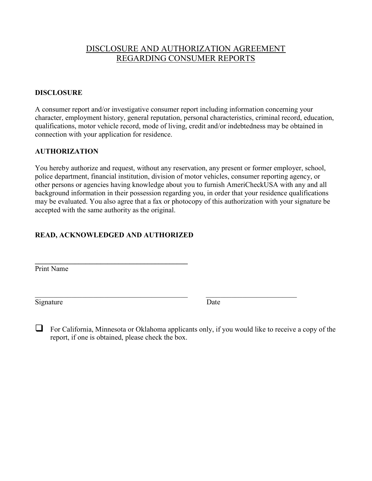# DISCLOSURE AND AUTHORIZATION AGREEMENT REGARDING CONSUMER REPORTS

## DISCLOSURE

A consumer report and/or investigative consumer report including information concerning your character, employment history, general reputation, personal characteristics, criminal record, education, qualifications, motor vehicle record, mode of living, credit and/or indebtedness may be obtained in connection with your application for residence.

## AUTHORIZATION

You hereby authorize and request, without any reservation, any present or former employer, school, police department, financial institution, division of motor vehicles, consumer reporting agency, or other persons or agencies having knowledge about you to furnish AmeriCheckUSA with any and all background information in their possession regarding you, in order that your residence qualifications may be evaluated. You also agree that a fax or photocopy of this authorization with your signature be accepted with the same authority as the original.

## READ, ACKNOWLEDGED AND AUTHORIZED

 $\mathcal{L}_\text{max}$  and  $\mathcal{L}_\text{max}$  and  $\mathcal{L}_\text{max}$  and  $\mathcal{L}_\text{max}$ 

Print Name

Signature Date

 For California, Minnesota or Oklahoma applicants only, if you would like to receive a copy of the report, if one is obtained, please check the box.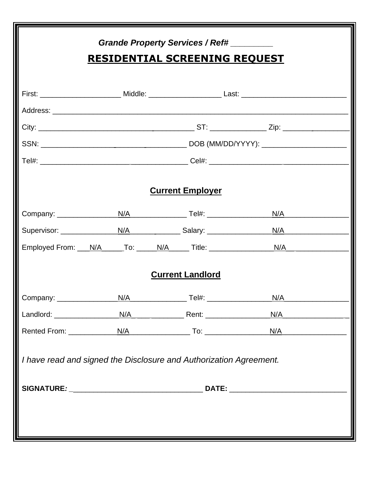| Grande Property Services / Ref#                                    |                                       |                         |     |     |
|--------------------------------------------------------------------|---------------------------------------|-------------------------|-----|-----|
| <b>RESIDENTIAL SCREENING REQUEST</b>                               |                                       |                         |     |     |
|                                                                    |                                       |                         |     |     |
|                                                                    |                                       |                         |     |     |
|                                                                    |                                       |                         |     |     |
|                                                                    |                                       |                         |     |     |
|                                                                    |                                       |                         |     |     |
|                                                                    |                                       |                         |     |     |
|                                                                    |                                       | <b>Current Employer</b> |     |     |
|                                                                    |                                       |                         |     | N/A |
|                                                                    |                                       |                         |     | N/A |
|                                                                    | Employed From: N/A To: N/A N/A Title: |                         |     | N/A |
|                                                                    |                                       | <b>Current Landlord</b> |     |     |
|                                                                    |                                       |                         | N/A |     |
|                                                                    |                                       |                         |     |     |
|                                                                    |                                       |                         |     |     |
| I have read and signed the Disclosure and Authorization Agreement. |                                       |                         |     |     |
|                                                                    |                                       |                         |     |     |
|                                                                    |                                       |                         |     |     |
|                                                                    |                                       |                         |     |     |
|                                                                    |                                       |                         |     |     |